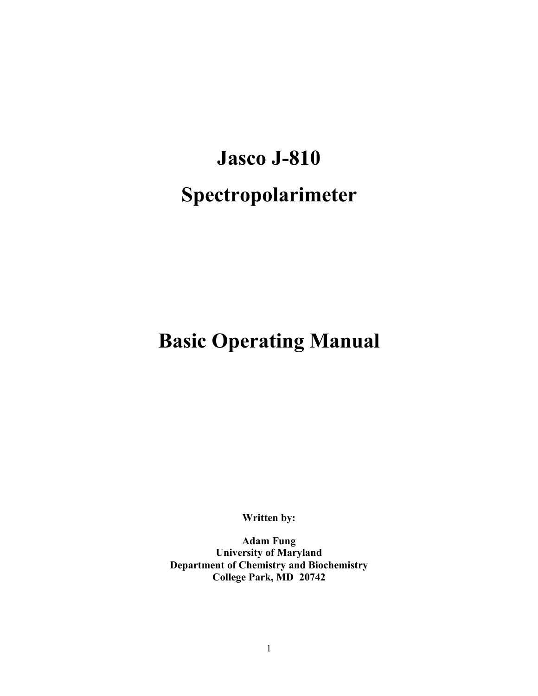# **Jasco J-810 Spectropolarimeter**

# **Basic Operating Manual**

**Written by:**

**Adam Fung University of Maryland Department of Chemistry and Biochemistry College Park, MD 20742**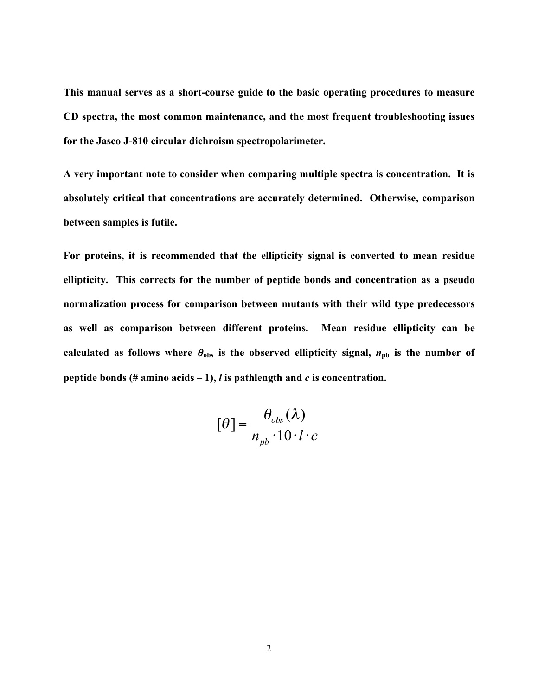**This manual serves as a short-course guide to the basic operating procedures to measure CD spectra, the most common maintenance, and the most frequent troubleshooting issues for the Jasco J-810 circular dichroism spectropolarimeter.**

**A very important note to consider when comparing multiple spectra is concentration. It is absolutely critical that concentrations are accurately determined. Otherwise, comparison between samples is futile.**

**For proteins, it is recommended that the ellipticity signal is converted to mean residue ellipticity. This corrects for the number of peptide bonds and concentration as a pseudo normalization process for comparison between mutants with their wild type predecessors as well as comparison between different proteins. Mean residue ellipticity can be**  calculated as follows where  $\theta_{obs}$  is the observed ellipticity signal,  $n_{pb}$  is the number of **peptide bonds** (# amino acids  $-1$ ), *l* is pathlength and *c* is concentration.

$$
[\theta] = \frac{\theta_{obs}(\lambda)}{n_{pb} \cdot 10 \cdot l \cdot c}
$$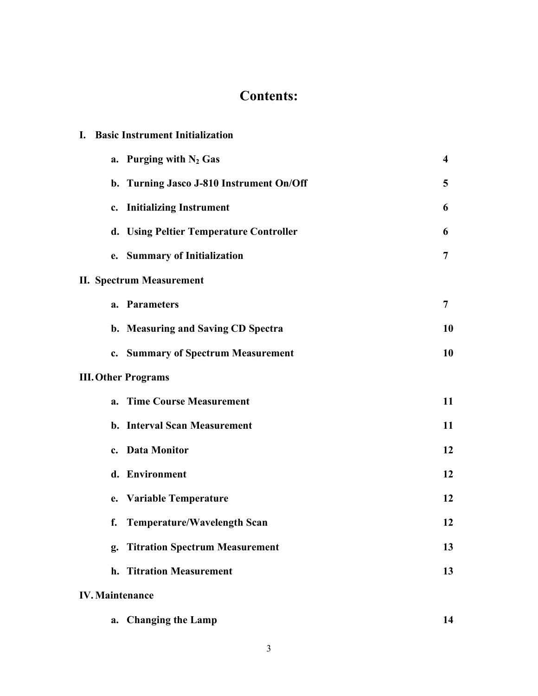## **Contents:**

| <b>Basic Instrument Initialization</b><br>L. |                |  |  |  |
|----------------------------------------------|----------------|--|--|--|
| a. Purging with $N_2$ Gas                    | 4              |  |  |  |
| b. Turning Jasco J-810 Instrument On/Off     | 5              |  |  |  |
| c. Initializing Instrument                   | 6              |  |  |  |
| d. Using Peltier Temperature Controller      | 6              |  |  |  |
| e. Summary of Initialization                 | $\overline{7}$ |  |  |  |
| <b>II. Spectrum Measurement</b>              |                |  |  |  |
| a. Parameters                                | 7              |  |  |  |
| b. Measuring and Saving CD Spectra           | 10             |  |  |  |
| c. Summary of Spectrum Measurement           | 10             |  |  |  |
| <b>III. Other Programs</b>                   |                |  |  |  |
| a. Time Course Measurement                   | 11             |  |  |  |
| b. Interval Scan Measurement                 | 11             |  |  |  |
| c. Data Monitor                              | 12             |  |  |  |
| d. Environment                               | 12             |  |  |  |
| e. Variable Temperature                      | 12             |  |  |  |
| f. Temperature/Wavelength Scan               | 12             |  |  |  |
| g. Titration Spectrum Measurement            | 13             |  |  |  |
| h. Titration Measurement                     | 13             |  |  |  |
| <b>IV. Maintenance</b>                       |                |  |  |  |
| <b>Changing the Lamp</b><br>a.               | 14             |  |  |  |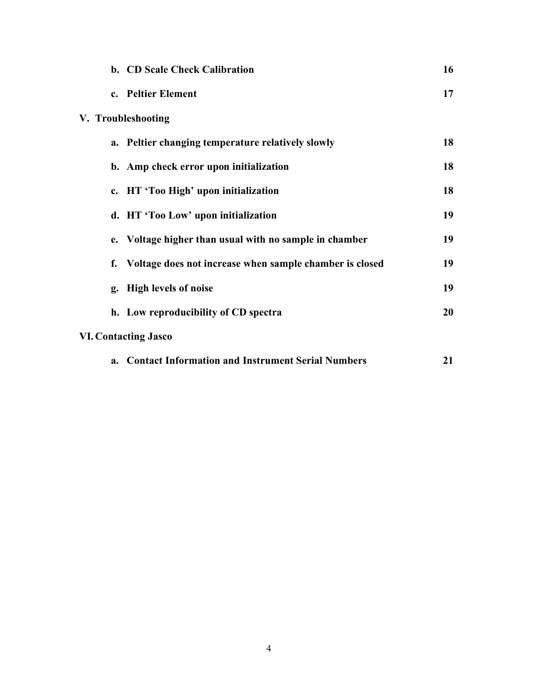|  | b. CD Scale Check Calibration                              | 16 |
|--|------------------------------------------------------------|----|
|  | c. Peltier Element                                         | 17 |
|  | V. Troubleshooting                                         |    |
|  | a. Peltier changing temperature relatively slowly          | 18 |
|  | b. Amp check error upon initialization                     | 18 |
|  | c. HT 'Too High' upon initialization                       | 18 |
|  | d. HT 'Too Low' upon initialization                        | 19 |
|  | e. Voltage higher than usual with no sample in chamber     | 19 |
|  | f. Voltage does not increase when sample chamber is closed | 19 |
|  | g. High levels of noise                                    | 19 |
|  | h. Low reproducibility of CD spectra                       | 20 |
|  | <b>VI. Contacting Jasco</b>                                |    |
|  | a. Contact Information and Instrument Serial Numbers       | 21 |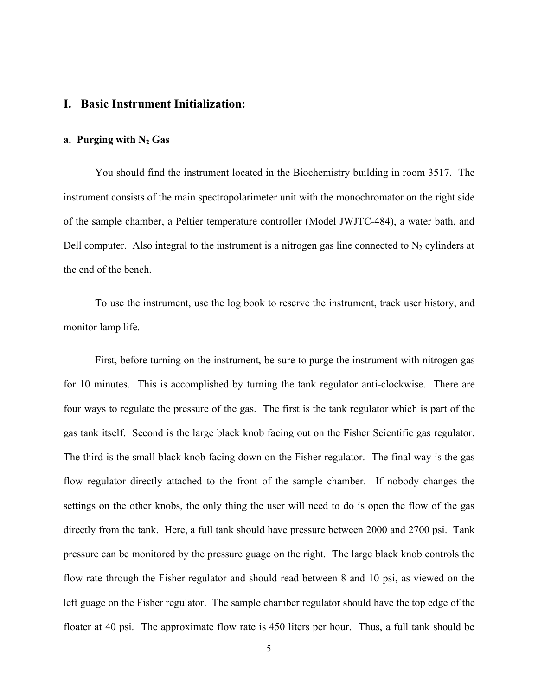#### **I. Basic Instrument Initialization:**

#### **a. Purging with N2 Gas**

You should find the instrument located in the Biochemistry building in room 3517. The instrument consists of the main spectropolarimeter unit with the monochromator on the right side of the sample chamber, a Peltier temperature controller (Model JWJTC-484), a water bath, and Dell computer. Also integral to the instrument is a nitrogen gas line connected to  $N_2$  cylinders at the end of the bench.

To use the instrument, use the log book to reserve the instrument, track user history, and monitor lamp life.

First, before turning on the instrument, be sure to purge the instrument with nitrogen gas for 10 minutes. This is accomplished by turning the tank regulator anti-clockwise. There are four ways to regulate the pressure of the gas. The first is the tank regulator which is part of the gas tank itself. Second is the large black knob facing out on the Fisher Scientific gas regulator. The third is the small black knob facing down on the Fisher regulator. The final way is the gas flow regulator directly attached to the front of the sample chamber. If nobody changes the settings on the other knobs, the only thing the user will need to do is open the flow of the gas directly from the tank. Here, a full tank should have pressure between 2000 and 2700 psi. Tank pressure can be monitored by the pressure guage on the right. The large black knob controls the flow rate through the Fisher regulator and should read between 8 and 10 psi, as viewed on the left guage on the Fisher regulator. The sample chamber regulator should have the top edge of the floater at 40 psi. The approximate flow rate is 450 liters per hour. Thus, a full tank should be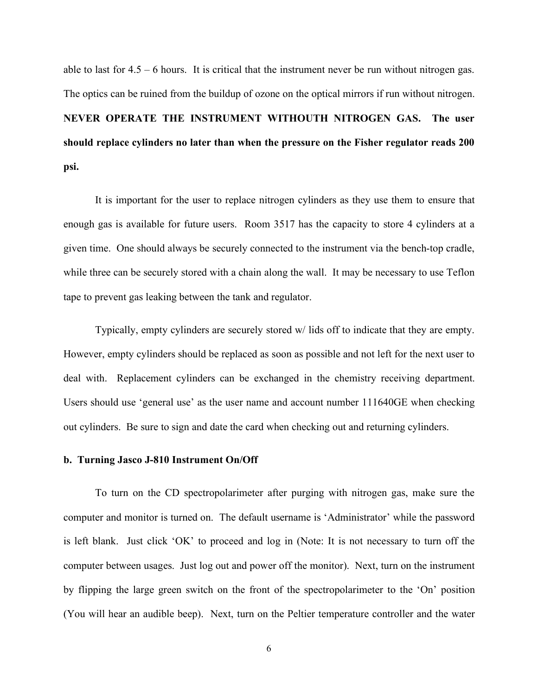able to last for 4.5 – 6 hours. It is critical that the instrument never be run without nitrogen gas. The optics can be ruined from the buildup of ozone on the optical mirrors if run without nitrogen. **NEVER OPERATE THE INSTRUMENT WITHOUTH NITROGEN GAS. The user should replace cylinders no later than when the pressure on the Fisher regulator reads 200 psi.**

It is important for the user to replace nitrogen cylinders as they use them to ensure that enough gas is available for future users. Room 3517 has the capacity to store 4 cylinders at a given time. One should always be securely connected to the instrument via the bench-top cradle, while three can be securely stored with a chain along the wall. It may be necessary to use Teflon tape to prevent gas leaking between the tank and regulator.

Typically, empty cylinders are securely stored w/ lids off to indicate that they are empty. However, empty cylinders should be replaced as soon as possible and not left for the next user to deal with. Replacement cylinders can be exchanged in the chemistry receiving department. Users should use 'general use' as the user name and account number 111640GE when checking out cylinders. Be sure to sign and date the card when checking out and returning cylinders.

#### **b. Turning Jasco J-810 Instrument On/Off**

To turn on the CD spectropolarimeter after purging with nitrogen gas, make sure the computer and monitor is turned on. The default username is 'Administrator' while the password is left blank. Just click 'OK' to proceed and log in (Note: It is not necessary to turn off the computer between usages. Just log out and power off the monitor). Next, turn on the instrument by flipping the large green switch on the front of the spectropolarimeter to the 'On' position (You will hear an audible beep). Next, turn on the Peltier temperature controller and the water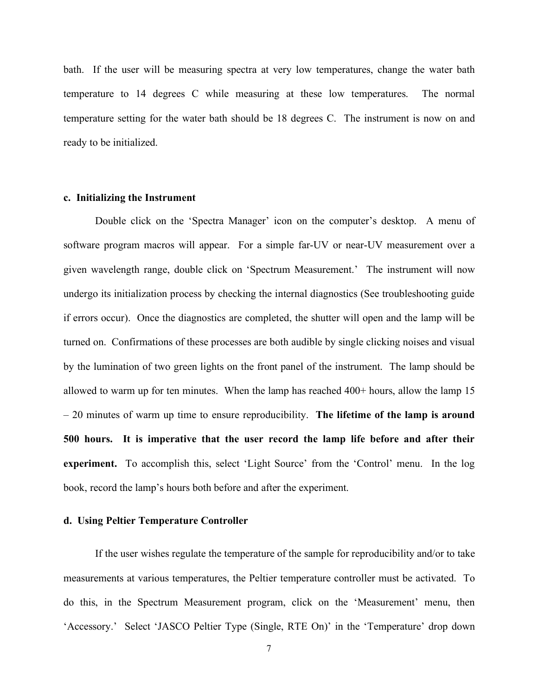bath. If the user will be measuring spectra at very low temperatures, change the water bath temperature to 14 degrees C while measuring at these low temperatures. The normal temperature setting for the water bath should be 18 degrees C. The instrument is now on and ready to be initialized.

#### **c. Initializing the Instrument**

Double click on the 'Spectra Manager' icon on the computer's desktop. A menu of software program macros will appear. For a simple far-UV or near-UV measurement over a given wavelength range, double click on 'Spectrum Measurement.' The instrument will now undergo its initialization process by checking the internal diagnostics (See troubleshooting guide if errors occur). Once the diagnostics are completed, the shutter will open and the lamp will be turned on. Confirmations of these processes are both audible by single clicking noises and visual by the lumination of two green lights on the front panel of the instrument. The lamp should be allowed to warm up for ten minutes. When the lamp has reached 400+ hours, allow the lamp 15 – 20 minutes of warm up time to ensure reproducibility. **The lifetime of the lamp is around 500 hours. It is imperative that the user record the lamp life before and after their experiment.** To accomplish this, select 'Light Source' from the 'Control' menu. In the log book, record the lamp's hours both before and after the experiment.

#### **d. Using Peltier Temperature Controller**

If the user wishes regulate the temperature of the sample for reproducibility and/or to take measurements at various temperatures, the Peltier temperature controller must be activated. To do this, in the Spectrum Measurement program, click on the 'Measurement' menu, then 'Accessory.' Select 'JASCO Peltier Type (Single, RTE On)' in the 'Temperature' drop down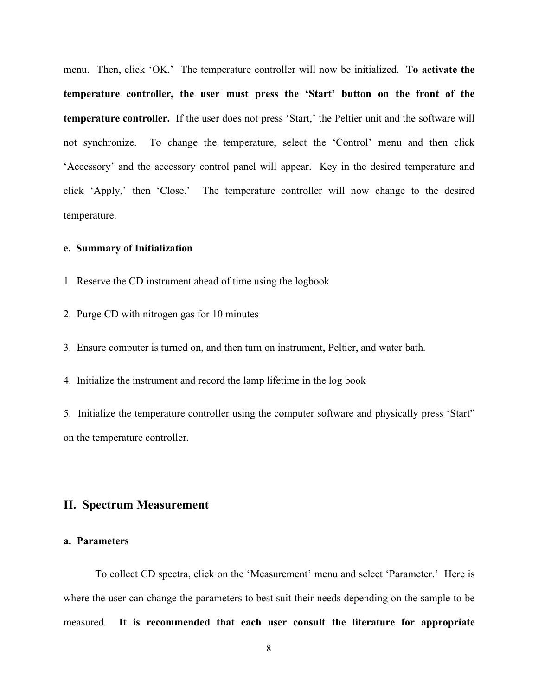menu. Then, click 'OK.' The temperature controller will now be initialized. **To activate the temperature controller, the user must press the 'Start' button on the front of the temperature controller.** If the user does not press 'Start,' the Peltier unit and the software will not synchronize. To change the temperature, select the 'Control' menu and then click 'Accessory' and the accessory control panel will appear. Key in the desired temperature and click 'Apply,' then 'Close.' The temperature controller will now change to the desired temperature.

#### **e. Summary of Initialization**

- 1. Reserve the CD instrument ahead of time using the logbook
- 2. Purge CD with nitrogen gas for 10 minutes

3. Ensure computer is turned on, and then turn on instrument, Peltier, and water bath.

4. Initialize the instrument and record the lamp lifetime in the log book

5. Initialize the temperature controller using the computer software and physically press 'Start" on the temperature controller.

#### **II. Spectrum Measurement**

#### **a. Parameters**

To collect CD spectra, click on the 'Measurement' menu and select 'Parameter.' Here is where the user can change the parameters to best suit their needs depending on the sample to be measured. **It is recommended that each user consult the literature for appropriate**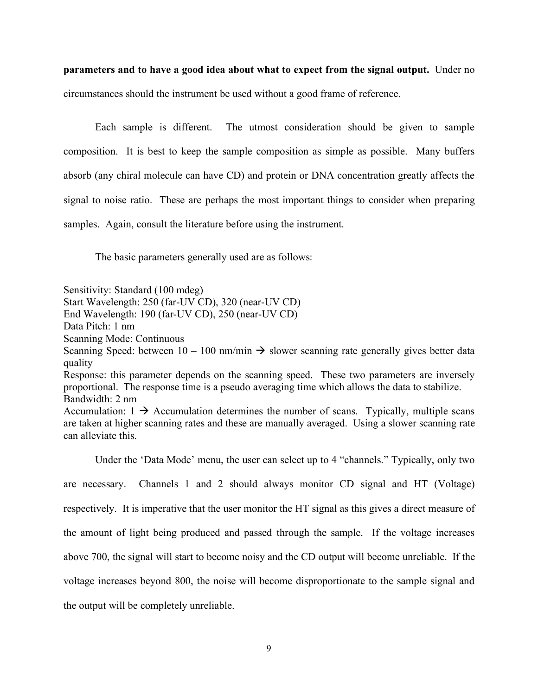**parameters and to have a good idea about what to expect from the signal output.** Under no circumstances should the instrument be used without a good frame of reference.

Each sample is different. The utmost consideration should be given to sample composition. It is best to keep the sample composition as simple as possible. Many buffers absorb (any chiral molecule can have CD) and protein or DNA concentration greatly affects the signal to noise ratio. These are perhaps the most important things to consider when preparing samples. Again, consult the literature before using the instrument.

The basic parameters generally used are as follows:

Sensitivity: Standard (100 mdeg) Start Wavelength: 250 (far-UV CD), 320 (near-UV CD) End Wavelength: 190 (far-UV CD), 250 (near-UV CD) Data Pitch: 1 nm Scanning Mode: Continuous Scanning Speed: between  $10 - 100$  nm/min  $\rightarrow$  slower scanning rate generally gives better data quality Response: this parameter depends on the scanning speed. These two parameters are inversely proportional. The response time is a pseudo averaging time which allows the data to stabilize. Bandwidth: 2 nm Accumulation:  $1 \rightarrow$  Accumulation determines the number of scans. Typically, multiple scans are taken at higher scanning rates and these are manually averaged. Using a slower scanning rate can alleviate this.

Under the 'Data Mode' menu, the user can select up to 4 "channels." Typically, only two are necessary. Channels 1 and 2 should always monitor CD signal and HT (Voltage) respectively. It is imperative that the user monitor the HT signal as this gives a direct measure of the amount of light being produced and passed through the sample. If the voltage increases above 700, the signal will start to become noisy and the CD output will become unreliable. If the voltage increases beyond 800, the noise will become disproportionate to the sample signal and the output will be completely unreliable.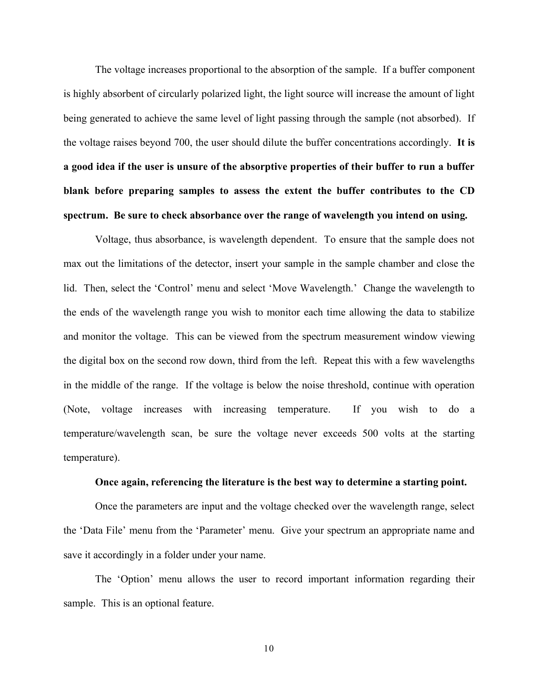The voltage increases proportional to the absorption of the sample. If a buffer component is highly absorbent of circularly polarized light, the light source will increase the amount of light being generated to achieve the same level of light passing through the sample (not absorbed). If the voltage raises beyond 700, the user should dilute the buffer concentrations accordingly. **It is a good idea if the user is unsure of the absorptive properties of their buffer to run a buffer blank before preparing samples to assess the extent the buffer contributes to the CD spectrum. Be sure to check absorbance over the range of wavelength you intend on using.**

Voltage, thus absorbance, is wavelength dependent. To ensure that the sample does not max out the limitations of the detector, insert your sample in the sample chamber and close the lid. Then, select the 'Control' menu and select 'Move Wavelength.' Change the wavelength to the ends of the wavelength range you wish to monitor each time allowing the data to stabilize and monitor the voltage. This can be viewed from the spectrum measurement window viewing the digital box on the second row down, third from the left. Repeat this with a few wavelengths in the middle of the range. If the voltage is below the noise threshold, continue with operation (Note, voltage increases with increasing temperature. If you wish to do a temperature/wavelength scan, be sure the voltage never exceeds 500 volts at the starting temperature).

#### **Once again, referencing the literature is the best way to determine a starting point.**

Once the parameters are input and the voltage checked over the wavelength range, select the 'Data File' menu from the 'Parameter' menu. Give your spectrum an appropriate name and save it accordingly in a folder under your name.

The 'Option' menu allows the user to record important information regarding their sample. This is an optional feature.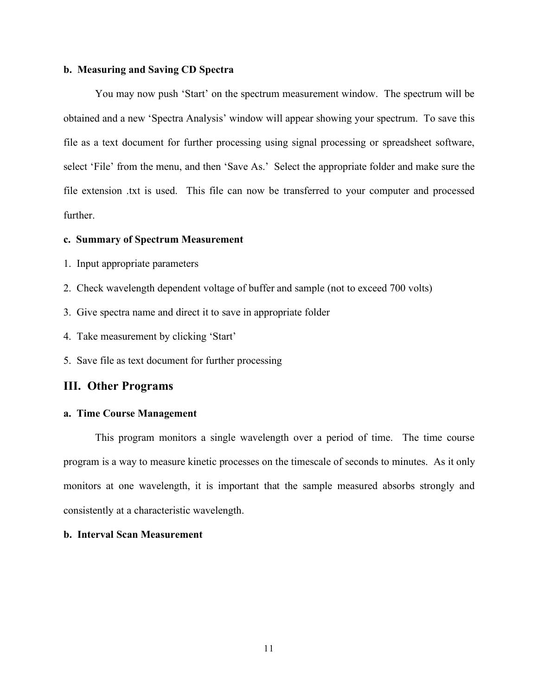#### **b. Measuring and Saving CD Spectra**

You may now push 'Start' on the spectrum measurement window. The spectrum will be obtained and a new 'Spectra Analysis' window will appear showing your spectrum. To save this file as a text document for further processing using signal processing or spreadsheet software, select 'File' from the menu, and then 'Save As.' Select the appropriate folder and make sure the file extension .txt is used. This file can now be transferred to your computer and processed further.

#### **c. Summary of Spectrum Measurement**

- 1. Input appropriate parameters
- 2. Check wavelength dependent voltage of buffer and sample (not to exceed 700 volts)
- 3. Give spectra name and direct it to save in appropriate folder
- 4. Take measurement by clicking 'Start'
- 5. Save file as text document for further processing

#### **III. Other Programs**

#### **a. Time Course Management**

This program monitors a single wavelength over a period of time. The time course program is a way to measure kinetic processes on the timescale of seconds to minutes. As it only monitors at one wavelength, it is important that the sample measured absorbs strongly and consistently at a characteristic wavelength.

#### **b. Interval Scan Measurement**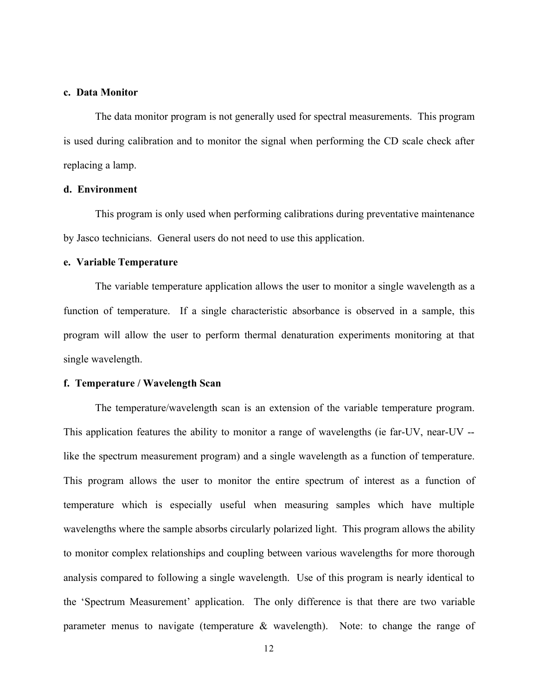#### **c. Data Monitor**

The data monitor program is not generally used for spectral measurements. This program is used during calibration and to monitor the signal when performing the CD scale check after replacing a lamp.

#### **d. Environment**

This program is only used when performing calibrations during preventative maintenance by Jasco technicians. General users do not need to use this application.

#### **e. Variable Temperature**

The variable temperature application allows the user to monitor a single wavelength as a function of temperature. If a single characteristic absorbance is observed in a sample, this program will allow the user to perform thermal denaturation experiments monitoring at that single wavelength.

#### **f. Temperature / Wavelength Scan**

The temperature/wavelength scan is an extension of the variable temperature program. This application features the ability to monitor a range of wavelengths (ie far-UV, near-UV - like the spectrum measurement program) and a single wavelength as a function of temperature. This program allows the user to monitor the entire spectrum of interest as a function of temperature which is especially useful when measuring samples which have multiple wavelengths where the sample absorbs circularly polarized light. This program allows the ability to monitor complex relationships and coupling between various wavelengths for more thorough analysis compared to following a single wavelength. Use of this program is nearly identical to the 'Spectrum Measurement' application. The only difference is that there are two variable parameter menus to navigate (temperature & wavelength). Note: to change the range of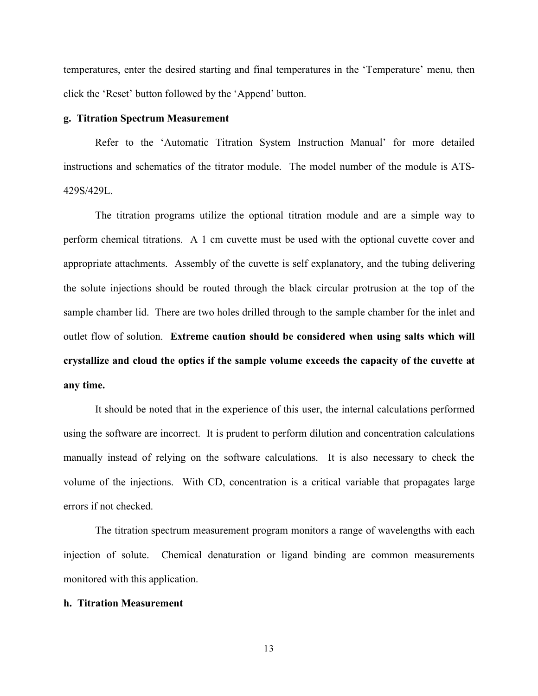temperatures, enter the desired starting and final temperatures in the 'Temperature' menu, then click the 'Reset' button followed by the 'Append' button.

#### **g. Titration Spectrum Measurement**

Refer to the 'Automatic Titration System Instruction Manual' for more detailed instructions and schematics of the titrator module. The model number of the module is ATS-429S/429L.

The titration programs utilize the optional titration module and are a simple way to perform chemical titrations. A 1 cm cuvette must be used with the optional cuvette cover and appropriate attachments. Assembly of the cuvette is self explanatory, and the tubing delivering the solute injections should be routed through the black circular protrusion at the top of the sample chamber lid. There are two holes drilled through to the sample chamber for the inlet and outlet flow of solution. **Extreme caution should be considered when using salts which will crystallize and cloud the optics if the sample volume exceeds the capacity of the cuvette at any time.**

It should be noted that in the experience of this user, the internal calculations performed using the software are incorrect. It is prudent to perform dilution and concentration calculations manually instead of relying on the software calculations. It is also necessary to check the volume of the injections. With CD, concentration is a critical variable that propagates large errors if not checked.

The titration spectrum measurement program monitors a range of wavelengths with each injection of solute. Chemical denaturation or ligand binding are common measurements monitored with this application.

#### **h. Titration Measurement**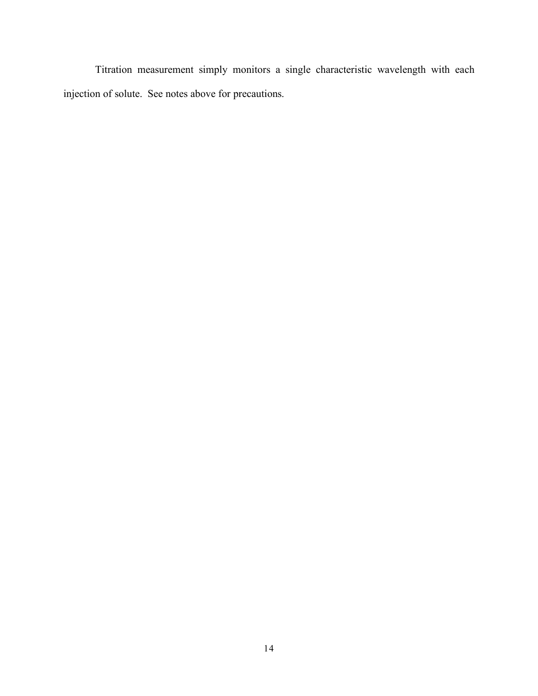Titration measurement simply monitors a single characteristic wavelength with each injection of solute. See notes above for precautions.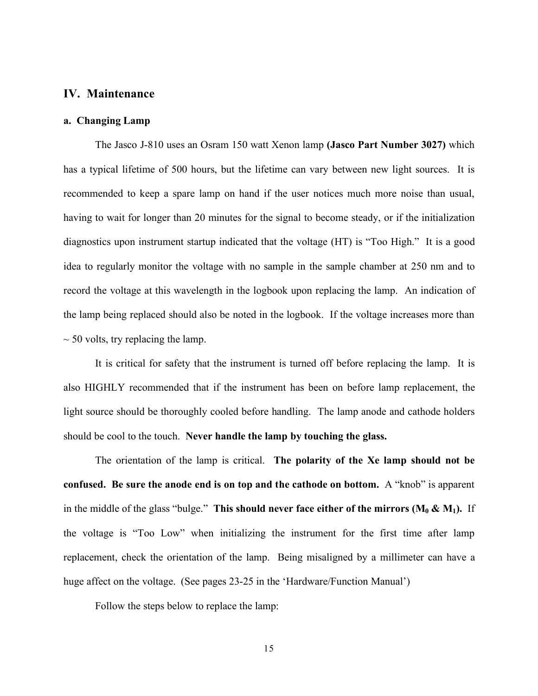#### **IV. Maintenance**

#### **a. Changing Lamp**

The Jasco J-810 uses an Osram 150 watt Xenon lamp **(Jasco Part Number 3027)** which has a typical lifetime of 500 hours, but the lifetime can vary between new light sources. It is recommended to keep a spare lamp on hand if the user notices much more noise than usual, having to wait for longer than 20 minutes for the signal to become steady, or if the initialization diagnostics upon instrument startup indicated that the voltage (HT) is "Too High." It is a good idea to regularly monitor the voltage with no sample in the sample chamber at 250 nm and to record the voltage at this wavelength in the logbook upon replacing the lamp. An indication of the lamp being replaced should also be noted in the logbook. If the voltage increases more than  $\sim$  50 volts, try replacing the lamp.

It is critical for safety that the instrument is turned off before replacing the lamp. It is also HIGHLY recommended that if the instrument has been on before lamp replacement, the light source should be thoroughly cooled before handling. The lamp anode and cathode holders should be cool to the touch. **Never handle the lamp by touching the glass.**

The orientation of the lamp is critical. **The polarity of the Xe lamp should not be confused. Be sure the anode end is on top and the cathode on bottom.** A "knob" is apparent in the middle of the glass "bulge." This should never face either of the mirrors  $(M_0 \& M_1)$ . If the voltage is "Too Low" when initializing the instrument for the first time after lamp replacement, check the orientation of the lamp. Being misaligned by a millimeter can have a huge affect on the voltage. (See pages 23-25 in the 'Hardware/Function Manual')

Follow the steps below to replace the lamp: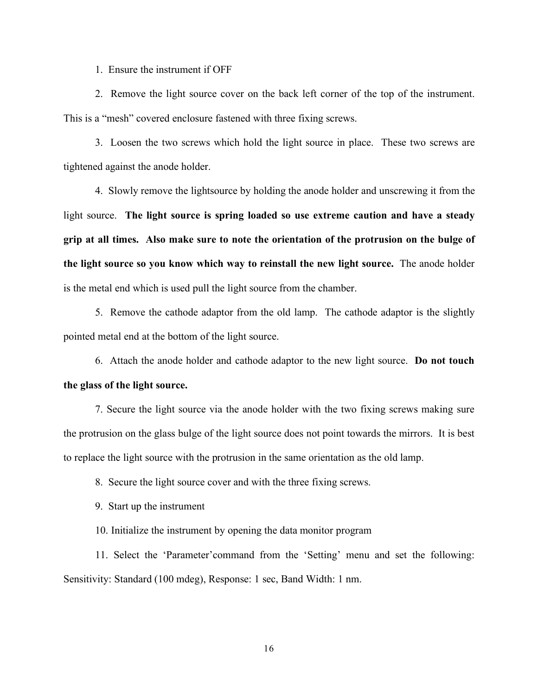1. Ensure the instrument if OFF

2. Remove the light source cover on the back left corner of the top of the instrument. This is a "mesh" covered enclosure fastened with three fixing screws.

3. Loosen the two screws which hold the light source in place. These two screws are tightened against the anode holder.

4. Slowly remove the lightsource by holding the anode holder and unscrewing it from the light source. **The light source is spring loaded so use extreme caution and have a steady grip at all times. Also make sure to note the orientation of the protrusion on the bulge of the light source so you know which way to reinstall the new light source.** The anode holder is the metal end which is used pull the light source from the chamber.

5. Remove the cathode adaptor from the old lamp. The cathode adaptor is the slightly pointed metal end at the bottom of the light source.

6. Attach the anode holder and cathode adaptor to the new light source. **Do not touch the glass of the light source.**

7. Secure the light source via the anode holder with the two fixing screws making sure the protrusion on the glass bulge of the light source does not point towards the mirrors. It is best to replace the light source with the protrusion in the same orientation as the old lamp.

8. Secure the light source cover and with the three fixing screws.

9. Start up the instrument

10. Initialize the instrument by opening the data monitor program

11. Select the 'Parameter'command from the 'Setting' menu and set the following: Sensitivity: Standard (100 mdeg), Response: 1 sec, Band Width: 1 nm.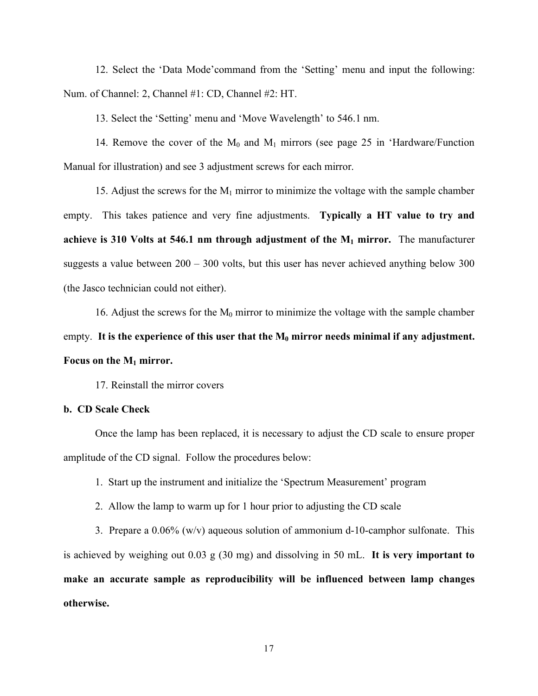12. Select the 'Data Mode'command from the 'Setting' menu and input the following: Num. of Channel: 2, Channel #1: CD, Channel #2: HT.

13. Select the 'Setting' menu and 'Move Wavelength' to 546.1 nm.

14. Remove the cover of the  $M_0$  and  $M_1$  mirrors (see page 25 in 'Hardware/Function Manual for illustration) and see 3 adjustment screws for each mirror.

15. Adjust the screws for the  $M_1$  mirror to minimize the voltage with the sample chamber empty. This takes patience and very fine adjustments. **Typically a HT value to try and achieve is 310 Volts at 546.1 nm through adjustment of the M1 mirror.** The manufacturer suggests a value between  $200 - 300$  volts, but this user has never achieved anything below 300 (the Jasco technician could not either).

16. Adjust the screws for the  $M_0$  mirror to minimize the voltage with the sample chamber empty. It is the experience of this user that the  $M_0$  mirror needs minimal if any adjustment. **Focus on the M1 mirror.**

17. Reinstall the mirror covers

#### **b. CD Scale Check**

Once the lamp has been replaced, it is necessary to adjust the CD scale to ensure proper amplitude of the CD signal. Follow the procedures below:

1. Start up the instrument and initialize the 'Spectrum Measurement' program

2. Allow the lamp to warm up for 1 hour prior to adjusting the CD scale

3. Prepare a  $0.06\%$  (w/v) aqueous solution of ammonium d-10-camphor sulfonate. This is achieved by weighing out 0.03 g (30 mg) and dissolving in 50 mL. **It is very important to make an accurate sample as reproducibility will be influenced between lamp changes otherwise.**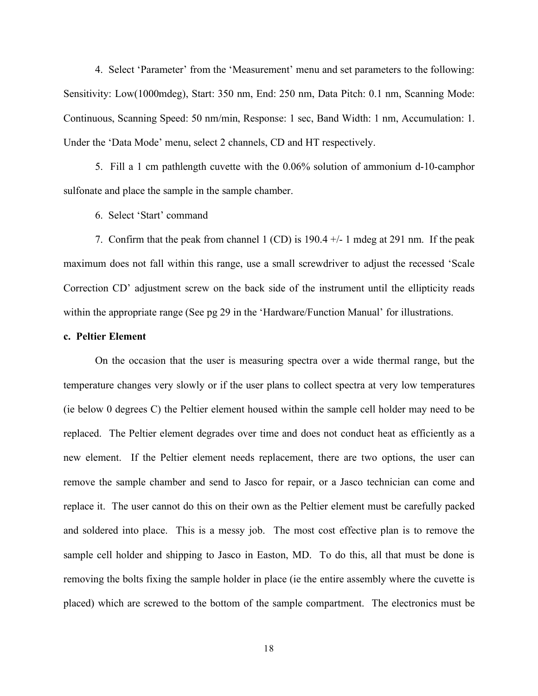4. Select 'Parameter' from the 'Measurement' menu and set parameters to the following: Sensitivity: Low(1000mdeg), Start: 350 nm, End: 250 nm, Data Pitch: 0.1 nm, Scanning Mode: Continuous, Scanning Speed: 50 nm/min, Response: 1 sec, Band Width: 1 nm, Accumulation: 1. Under the 'Data Mode' menu, select 2 channels, CD and HT respectively.

5. Fill a 1 cm pathlength cuvette with the 0.06% solution of ammonium d-10-camphor sulfonate and place the sample in the sample chamber.

6. Select 'Start' command

7. Confirm that the peak from channel 1 (CD) is  $190.4 +/-1$  mdeg at 291 nm. If the peak maximum does not fall within this range, use a small screwdriver to adjust the recessed 'Scale Correction CD' adjustment screw on the back side of the instrument until the ellipticity reads within the appropriate range (See pg 29 in the 'Hardware/Function Manual' for illustrations.

#### **c. Peltier Element**

On the occasion that the user is measuring spectra over a wide thermal range, but the temperature changes very slowly or if the user plans to collect spectra at very low temperatures (ie below 0 degrees C) the Peltier element housed within the sample cell holder may need to be replaced. The Peltier element degrades over time and does not conduct heat as efficiently as a new element. If the Peltier element needs replacement, there are two options, the user can remove the sample chamber and send to Jasco for repair, or a Jasco technician can come and replace it. The user cannot do this on their own as the Peltier element must be carefully packed and soldered into place. This is a messy job. The most cost effective plan is to remove the sample cell holder and shipping to Jasco in Easton, MD. To do this, all that must be done is removing the bolts fixing the sample holder in place (ie the entire assembly where the cuvette is placed) which are screwed to the bottom of the sample compartment. The electronics must be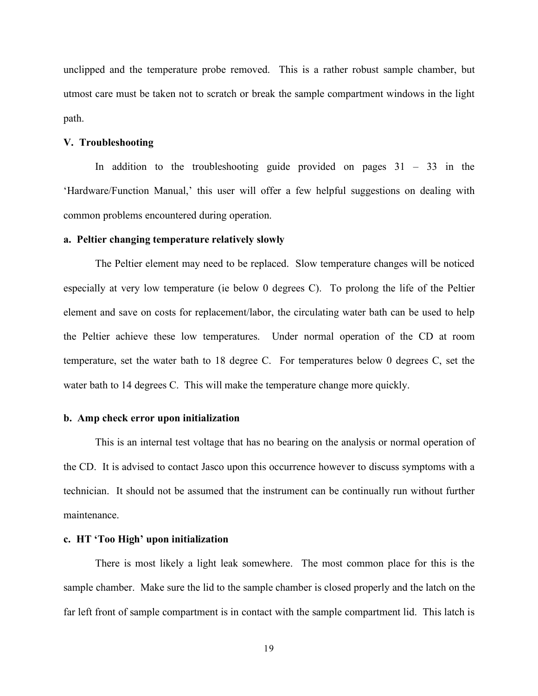unclipped and the temperature probe removed. This is a rather robust sample chamber, but utmost care must be taken not to scratch or break the sample compartment windows in the light path.

#### **V. Troubleshooting**

In addition to the troubleshooting guide provided on pages  $31 - 33$  in the 'Hardware/Function Manual,' this user will offer a few helpful suggestions on dealing with common problems encountered during operation.

#### **a. Peltier changing temperature relatively slowly**

The Peltier element may need to be replaced. Slow temperature changes will be noticed especially at very low temperature (ie below 0 degrees C). To prolong the life of the Peltier element and save on costs for replacement/labor, the circulating water bath can be used to help the Peltier achieve these low temperatures. Under normal operation of the CD at room temperature, set the water bath to 18 degree C. For temperatures below 0 degrees C, set the water bath to 14 degrees C. This will make the temperature change more quickly.

#### **b. Amp check error upon initialization**

This is an internal test voltage that has no bearing on the analysis or normal operation of the CD. It is advised to contact Jasco upon this occurrence however to discuss symptoms with a technician. It should not be assumed that the instrument can be continually run without further maintenance.

#### **c. HT 'Too High' upon initialization**

There is most likely a light leak somewhere. The most common place for this is the sample chamber. Make sure the lid to the sample chamber is closed properly and the latch on the far left front of sample compartment is in contact with the sample compartment lid. This latch is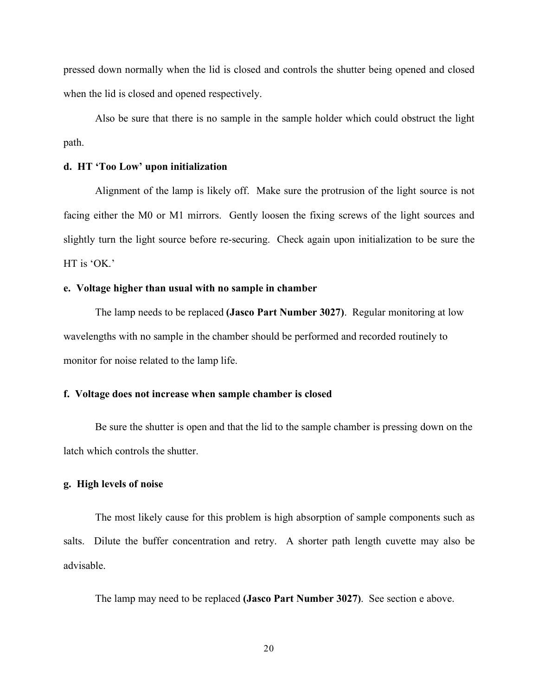pressed down normally when the lid is closed and controls the shutter being opened and closed when the lid is closed and opened respectively.

Also be sure that there is no sample in the sample holder which could obstruct the light path.

#### **d. HT 'Too Low' upon initialization**

Alignment of the lamp is likely off. Make sure the protrusion of the light source is not facing either the M0 or M1 mirrors. Gently loosen the fixing screws of the light sources and slightly turn the light source before re-securing. Check again upon initialization to be sure the HT is 'OK.'

#### **e. Voltage higher than usual with no sample in chamber**

The lamp needs to be replaced **(Jasco Part Number 3027)**. Regular monitoring at low wavelengths with no sample in the chamber should be performed and recorded routinely to monitor for noise related to the lamp life.

#### **f. Voltage does not increase when sample chamber is closed**

Be sure the shutter is open and that the lid to the sample chamber is pressing down on the latch which controls the shutter.

#### **g. High levels of noise**

The most likely cause for this problem is high absorption of sample components such as salts. Dilute the buffer concentration and retry. A shorter path length cuvette may also be advisable.

The lamp may need to be replaced **(Jasco Part Number 3027)**. See section e above.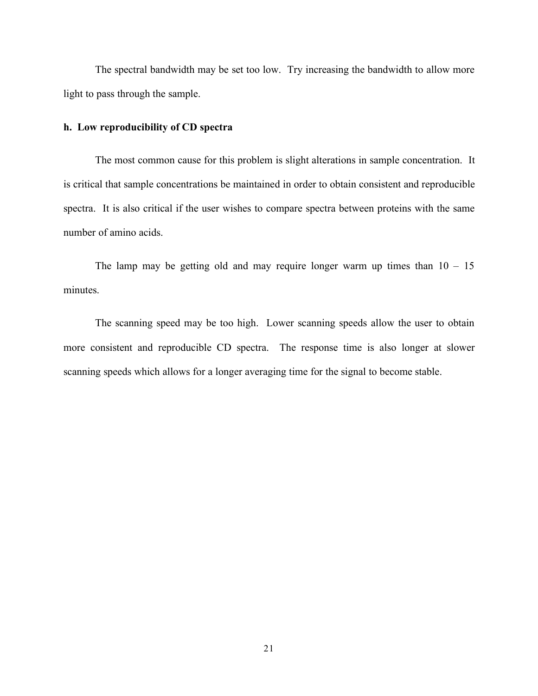The spectral bandwidth may be set too low. Try increasing the bandwidth to allow more light to pass through the sample.

#### **h. Low reproducibility of CD spectra**

The most common cause for this problem is slight alterations in sample concentration. It is critical that sample concentrations be maintained in order to obtain consistent and reproducible spectra. It is also critical if the user wishes to compare spectra between proteins with the same number of amino acids.

The lamp may be getting old and may require longer warm up times than  $10 - 15$ minutes.

The scanning speed may be too high. Lower scanning speeds allow the user to obtain more consistent and reproducible CD spectra. The response time is also longer at slower scanning speeds which allows for a longer averaging time for the signal to become stable.